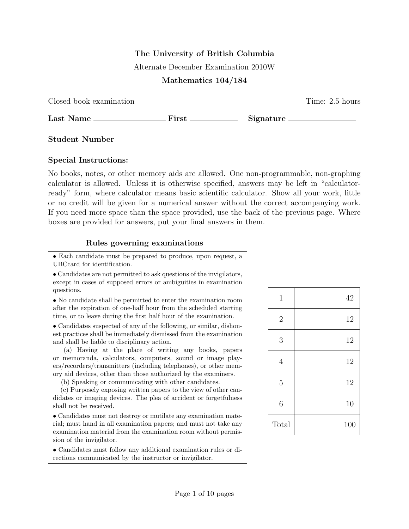## The University of British Columbia

Alternate December Examination 2010W

## Mathematics 104/184

Closed book examination Time: 2.5 hours

Last Name First Signature

Student Number

## Special Instructions:

No books, notes, or other memory aids are allowed. One non-programmable, non-graphing calculator is allowed. Unless it is otherwise specified, answers may be left in "calculatorready" form, where calculator means basic scientific calculator. Show all your work, little or no credit will be given for a numerical answer without the correct accompanying work. If you need more space than the space provided, use the back of the previous page. Where boxes are provided for answers, put your final answers in them.

## Rules governing examinations

• Each candidate must be prepared to produce, upon request, a UBCcard for identification.

• Candidates are not permitted to ask questions of the invigilators, except in cases of supposed errors or ambiguities in examination questions.

• No candidate shall be permitted to enter the examination room after the expiration of one-half hour from the scheduled starting time, or to leave during the first half hour of the examination.

• Candidates suspected of any of the following, or similar, dishonest practices shall be immediately dismissed from the examination and shall be liable to disciplinary action.

(a) Having at the place of writing any books, papers or memoranda, calculators, computers, sound or image players/recorders/transmitters (including telephones), or other memory aid devices, other than those authorized by the examiners.

(b) Speaking or communicating with other candidates.

(c) Purposely exposing written papers to the view of other candidates or imaging devices. The plea of accident or forgetfulness shall not be received.

• Candidates must not destroy or mutilate any examination material; must hand in all examination papers; and must not take any examination material from the examination room without permission of the invigilator.

• Candidates must follow any additional examination rules or directions communicated by the instructor or invigilator.

| $\mathbf{1}$     | 42  |
|------------------|-----|
| $\overline{2}$   | 12  |
| 3                | 12  |
| $\overline{4}$   | 12  |
| $\overline{5}$   | 12  |
| $\boldsymbol{6}$ | 10  |
| Total            | 100 |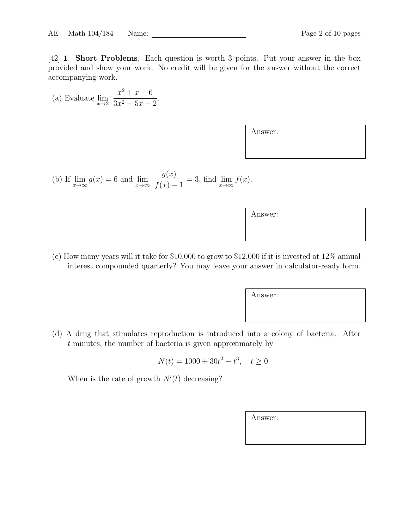[42] 1. Short Problems. Each question is worth 3 points. Put your answer in the box provided and show your work. No credit will be given for the answer without the correct accompanying work.

(a) Evaluate 
$$
\lim_{x \to 2} \frac{x^2 + x - 6}{3x^2 - 5x - 2}
$$
.

| Answer: |  |
|---------|--|
|---------|--|

(b) If 
$$
\lim_{x \to \infty} g(x) = 6
$$
 and  $\lim_{x \to \infty} \frac{g(x)}{f(x) - 1} = 3$ , find  $\lim_{x \to \infty} f(x)$ .

| Answer: |  |
|---------|--|
|         |  |

(c) How many years will it take for \$10,000 to grow to \$12,000 if it is invested at 12% annual interest compounded quarterly? You may leave your answer in calculator-ready form.

Answer:

(d) A drug that stimulates reproduction is introduced into a colony of bacteria. After t minutes, the number of bacteria is given approximately by

$$
N(t) = 1000 + 30t^2 - t^3, \quad t \ge 0.
$$

When is the rate of growth  $N'(t)$  decreasing?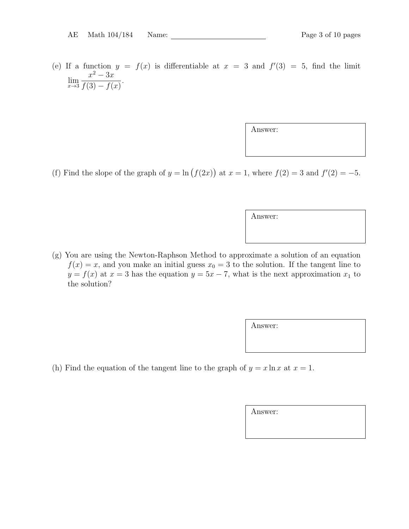(e) If a function  $y = f(x)$  is differentiable at  $x = 3$  and  $f'(3) = 5$ , find the limit  $\lim_{x\to 3}$  $x^2-3x$  $f(3) - f(x)$ .

Answer:

(f) Find the slope of the graph of  $y = \ln(f(2x))$  at  $x = 1$ , where  $f(2) = 3$  and  $f'(2) = -5$ .

Answer:

(g) You are using the Newton-Raphson Method to approximate a solution of an equation  $f(x) = x$ , and you make an initial guess  $x_0 = 3$  to the solution. If the tangent line to  $y = f(x)$  at  $x = 3$  has the equation  $y = 5x - 7$ , what is the next approximation  $x_1$  to the solution?

Answer:

(h) Find the equation of the tangent line to the graph of  $y = x \ln x$  at  $x = 1$ .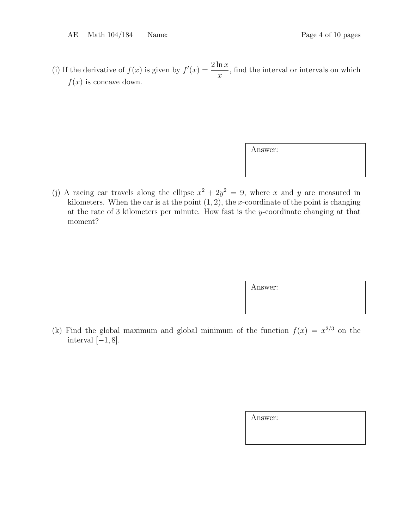(i) If the derivative of  $f(x)$  is given by  $f'(x) = \frac{2 \ln x}{x}$  $\boldsymbol{x}$ , find the interval or intervals on which  $f(x)$  is concave down.

Answer:

(j) A racing car travels along the ellipse  $x^2 + 2y^2 = 9$ , where x and y are measured in kilometers. When the car is at the point  $(1, 2)$ , the x-coordinate of the point is changing at the rate of 3 kilometers per minute. How fast is the y-coordinate changing at that moment?

Answer:

(k) Find the global maximum and global minimum of the function  $f(x) = x^{2/3}$  on the interval  $[-1, 8]$ .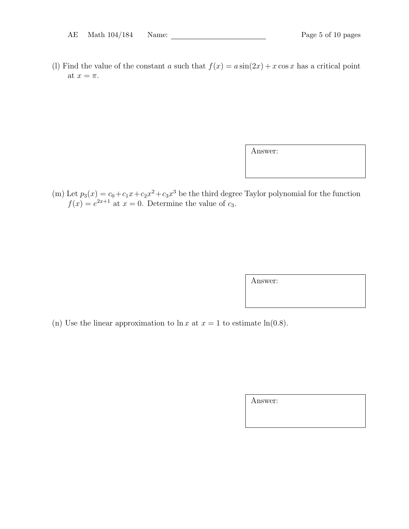(l) Find the value of the constant a such that  $f(x) = a \sin(2x) + x \cos x$  has a critical point at  $x = \pi$ .

Answer:

(m) Let  $p_3(x) = c_0 + c_1x + c_2x^2 + c_3x^3$  be the third degree Taylor polynomial for the function  $f(x) = e^{2x+1}$  at  $x = 0$ . Determine the value of  $c_3$ .

Answer:

(n) Use the linear approximation to  $\ln x$  at  $x = 1$  to estimate  $\ln(0.8)$ .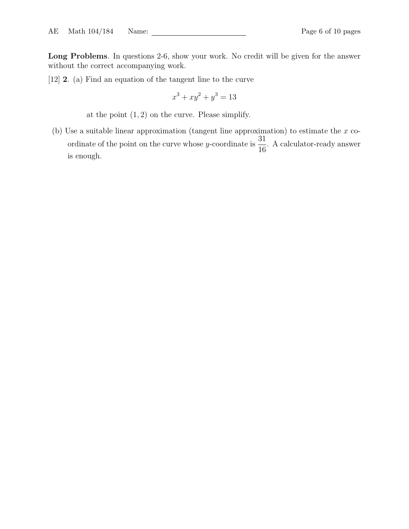Long Problems. In questions 2-6, show your work. No credit will be given for the answer without the correct accompanying work.

[12] 2. (a) Find an equation of the tangent line to the curve

$$
x^3 + xy^2 + y^3 = 13
$$

at the point  $(1, 2)$  on the curve. Please simplify.

(b) Use a suitable linear approximation (tangent line approximation) to estimate the  $x$  coordinate of the point on the curve whose y-coordinate is  $\frac{31}{16}$ 16 . A calculator-ready answer is enough.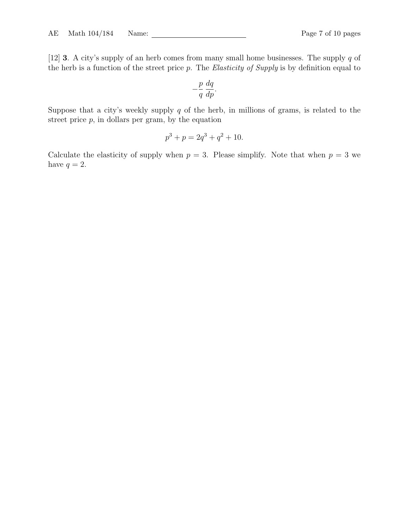[12] 3. A city's supply of an herb comes from many small home businesses. The supply q of the herb is a function of the street price  $p$ . The *Elasticity of Supply* is by definition equal to

$$
-\frac{p}{q}\frac{dq}{dp}.
$$

Suppose that a city's weekly supply  $q$  of the herb, in millions of grams, is related to the street price  $p$ , in dollars per gram, by the equation

$$
p^3 + p = 2q^3 + q^2 + 10.
$$

Calculate the elasticity of supply when  $p = 3$ . Please simplify. Note that when  $p = 3$  we have  $q = 2$ .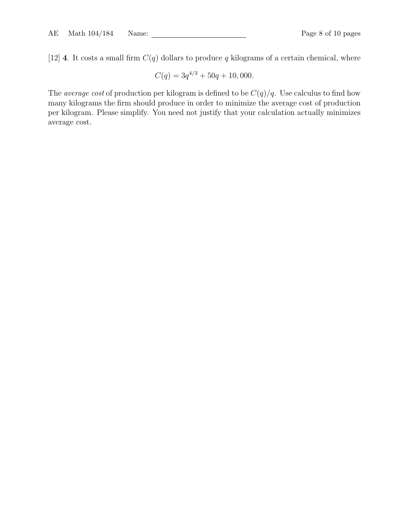[12] 4. It costs a small firm  $C(q)$  dollars to produce q kilograms of a certain chemical, where

$$
C(q) = 3q^{4/3} + 50q + 10,000.
$$

The *average cost* of production per kilogram is defined to be  $C(q)/q$ . Use calculus to find how many kilograms the firm should produce in order to minimize the average cost of production per kilogram. Please simplify. You need not justify that your calculation actually minimizes average cost.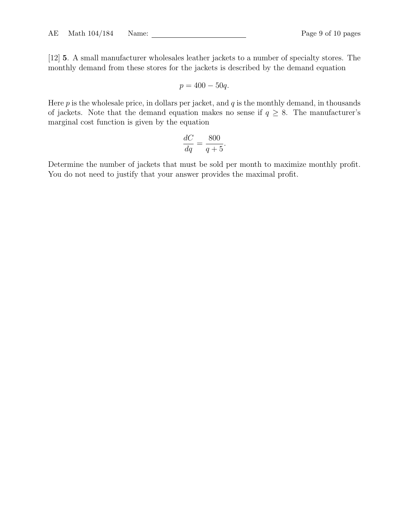[12] 5. A small manufacturer wholesales leather jackets to a number of specialty stores. The monthly demand from these stores for the jackets is described by the demand equation

$$
p = 400 - 50q.
$$

Here  $p$  is the wholesale price, in dollars per jacket, and  $q$  is the monthly demand, in thousands of jackets. Note that the demand equation makes no sense if  $q \geq 8$ . The manufacturer's marginal cost function is given by the equation

$$
\frac{dC}{dq} = \frac{800}{q+5}.
$$

Determine the number of jackets that must be sold per month to maximize monthly profit. You do not need to justify that your answer provides the maximal profit.